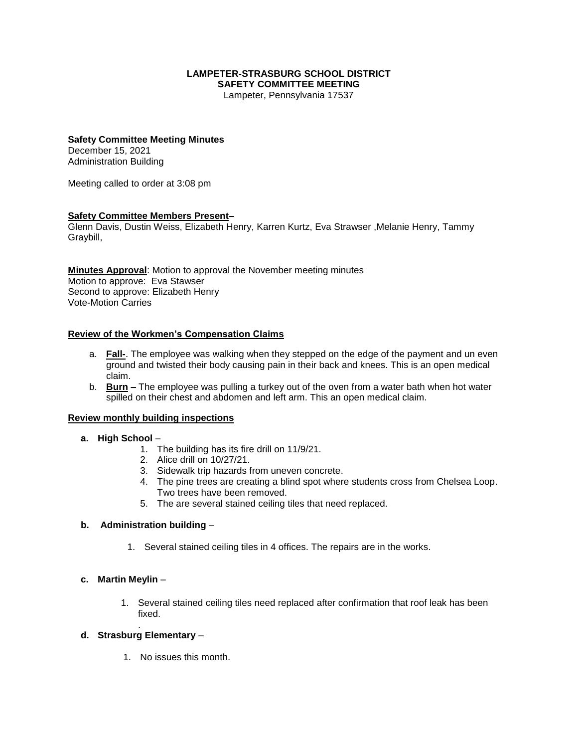# **LAMPETER-STRASBURG SCHOOL DISTRICT SAFETY COMMITTEE MEETING**

Lampeter, Pennsylvania 17537

### **Safety Committee Meeting Minutes**

December 15, 2021 Administration Building

Meeting called to order at 3:08 pm

# **Safety Committee Members Present–**

Glenn Davis, Dustin Weiss, Elizabeth Henry, Karren Kurtz, Eva Strawser ,Melanie Henry, Tammy Graybill,

**Minutes Approval**: Motion to approval the November meeting minutes Motion to approve: Eva Stawser Second to approve: Elizabeth Henry Vote-Motion Carries

### **Review of the Workmen's Compensation Claims**

- a. **Fall-**. The employee was walking when they stepped on the edge of the payment and un even ground and twisted their body causing pain in their back and knees. This is an open medical claim.
- b. **Burn –** The employee was pulling a turkey out of the oven from a water bath when hot water spilled on their chest and abdomen and left arm. This an open medical claim.

### **Review monthly building inspections**

### **a. High School** –

- 1. The building has its fire drill on 11/9/21.
- 2. Alice drill on 10/27/21.
- 3. Sidewalk trip hazards from uneven concrete.
- 4. The pine trees are creating a blind spot where students cross from Chelsea Loop. Two trees have been removed.
- 5. The are several stained ceiling tiles that need replaced.

# **b. Administration building** –

1. Several stained ceiling tiles in 4 offices. The repairs are in the works.

### **c. Martin Meylin** –

1. Several stained ceiling tiles need replaced after confirmation that roof leak has been fixed.

#### . **d. Strasburg Elementary** –

1. No issues this month.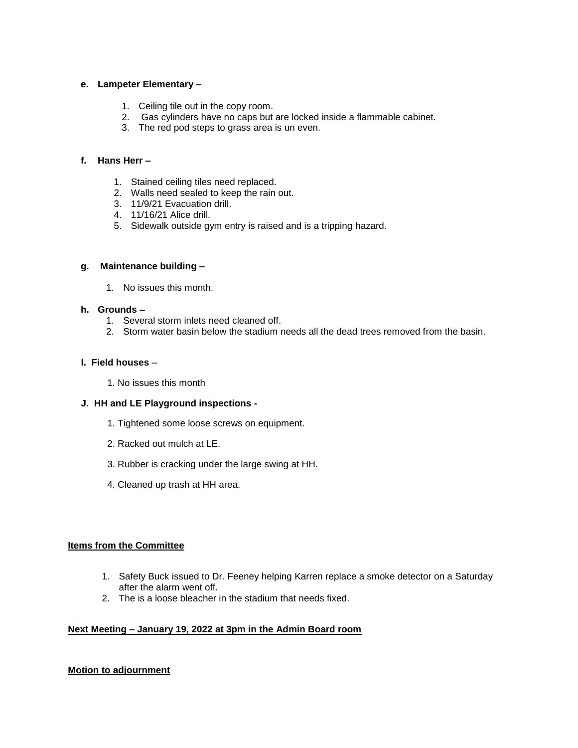## **e. Lampeter Elementary –**

- 1. Ceiling tile out in the copy room.
- 2. Gas cylinders have no caps but are locked inside a flammable cabinet.
- 3. The red pod steps to grass area is un even.

# **f. Hans Herr –**

- 1. Stained ceiling tiles need replaced.
- 2. Walls need sealed to keep the rain out.
- 3. 11/9/21 Evacuation drill.
- 4. 11/16/21 Alice drill.
- 5. Sidewalk outside gym entry is raised and is a tripping hazard.

## **g. Maintenance building –**

1. No issues this month.

# **h. Grounds –**

- 1. Several storm inlets need cleaned off.
- 2. Storm water basin below the stadium needs all the dead trees removed from the basin.

# **l. Field houses** –

1. No issues this month

### **J. HH and LE Playground inspections -**

- 1. Tightened some loose screws on equipment.
- 2. Racked out mulch at LE.
- 3. Rubber is cracking under the large swing at HH.
- 4. Cleaned up trash at HH area.

# **Items from the Committee**

- 1. Safety Buck issued to Dr. Feeney helping Karren replace a smoke detector on a Saturday after the alarm went off.
- 2. The is a loose bleacher in the stadium that needs fixed.

# **Next Meeting – January 19, 2022 at 3pm in the Admin Board room**

# **Motion to adjournment**